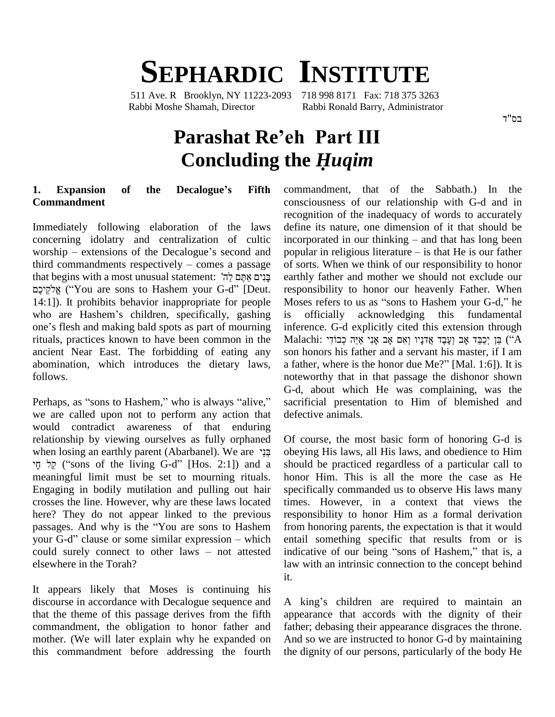## **SEPHARDIC INSTITUTE**

511 Ave. R Brooklyn, NY 11223-2093 718 998 8171 Fax: 718 375 3263 Rabbi Moshe Shamah, Director Rabbi Ronald Barry, Administrator

# **Parashat Reíeh Part III** Example Barry, Administrator<br> **Parashat Re'eh Part III**<br> **Concluding the** *Huqim*

### **1. Expansion of the Decalogueís Fifth Commandment**

Immediately following elaboration of the laws concerning idolatry and centralization of cultic Immediately following elaboration of the laws define<br>concerning idolatry and centralization of cultic incorp<br>worship – extensions of the Decalogue's second and popula concerning idolatry and centralization of cultic incor<br>worship – extensions of the Decalogue's second and popu<br>third commandments respectively – comes a passage of so worship – extensions of the Decalogue's seccential commandments respectively – comes a p that begins with a most unusual statement:  $\frac{1}{7}$ worship – extensions of the Decalogue's second and pop<br>third commandments respectively – comes a passage of<br>ethat begins with a most unusual statement: "בנים אתם לה expectively – comes a passage<br>
gins with a most unusual statement: "בְּנִיִּם אֲתֶּם לַה<br>
gezy – בָּנִים אֲתֶם לַה<br>
Peut. re sons to Hashem your G-d" [Deut. 14:1]). It prohibits behavior inappropriate for people Moses<br>who are Hashem's children, specifically, gashing is o<br>one's flesh and making bald spots as part of mourning inferen אֱלֹקֵיכֶם ("You are sons to Hashem your G-d" [Deut. responsibility to honor our heavenly Father. When 14:1]). It prohibits behavior inappropriate for people Moses refers to us as "sons to Hashem your G-d," he who are Has rituals, practices known to have been common in the ancient Near East. The forbidding of eating any abomination, which introduces the dietary laws, a father, where is the honor due Me?" [Mal. 1:6]). It is follows.

Perhaps, as "sons to Hashem," who is always "alive," we are called upon not to perform any action that would contradict awareness of that enduring relationship by viewing ourselves as fully orphaned ontradict awareness of that enduring<br>relationship by viewing ourselves as fully orphaned Of<br>when losing an earthly parent (Abarbanel). We are  $\frac{125}{7}$  obe re when losing an earthly parent (Abarbanel). We are הֲנֵי ('sons of the living G-d'' [Hos. 2:1]) and a meaningful limit must be set to mourning rituals. Engaging in bodily mutilation and pulling out hair crosses the line. However, why are these laws located times. However? They do not appear linked to the previous responsibility passages. And why is the "You are sons to Hashem from honor here? They do not appear linked to the previous here? They do not appear linked to the previous respore passages. And why is the "You are sons to Hashem from hyour G-d" clause or some similar expression – which entail passages. And why is the "You are sons to Hashem from hyour G-d" clause or some similar expression – which entail could surely connect to other laws – not attested indica elsewhere in the Torah?

It appears likely that Moses is continuing his discourse in accordance with Decalogue sequence and that the theme of this passage derives from the fifth commandment, the obligation to honor father and mother. (We will later explain why he expanded on this commandment before addressing the fourth commandment, that of the Sabbath.) In the consciousness of our relationship with G-d and in recognition of the inadequacy of words to accurately define its nature, one dimension of it that should be recognition of the inadequacy of words to accurately<br>define its nature, one dimension of it that should be<br>incorporated in our thinking – and that has long been define its nature, one dimension of it that should be<br>incorporated in our thinking – and that has long been<br>popular in religious literature – is that He is our father of sorts. When we think of our responsibility to honor earthly father and mother we should not exclude our responsibility to honor our heavenly Father. When earthly father and mother we should not exclude our<br>responsibility to honor our heavenly Father. When<br>Moses refers to us as "sons to Hashem your G-d," he is officially acknowledging this fundamental inference. G-d explicitly cited this extension through is officially acknowledging this fundamental<br>inference. G-d explicitly cited this extension through<br>Malachi: פֵן יְכַבֵּד אָב וְעֶבֶד אֲדִנָּיו וְאִם אָב אָנִי אַיֵּה כְּבוֹדִי ) בֵּן (''A son honors his father and a servant his master, if I am A father, אֲבִי אָב אָנִי אַב אָנִי אַיֵּה לְבוֹדִי Ason honors his father and a servant his master, if I am<br>a father, where is the honor due Me?" [Mal. 1:6]). It is noteworthy that in that passage the dishonor shown G-d, about which He was complaining, was the sacrificial presentation to Him of blemished and defective animals.

Of course, the most basic form of honoring G-d is obeying His laws, all His laws, and obedience to Him should be practiced regardless of a particular call to honor Him. This is all the more the case as He specifically commanded us to observe His laws many times. However, in a context that views the responsibility to honor Him as a formal derivation from honoring parents, the expectation is that it would entail something specific that results from or is from honoring parents, the expectation is that it would<br>entail something specific that results from or is<br>indicative of our being "sons of Hashem," that is, a law with an intrinsic connection to the concept behind it.

A king's children are required to maintain an appearance that accords with the dignity of their father; debasing their appearance disgraces the throne. And so we are instructed to honor G-d by maintaining the dignity of our persons, particularly of the body He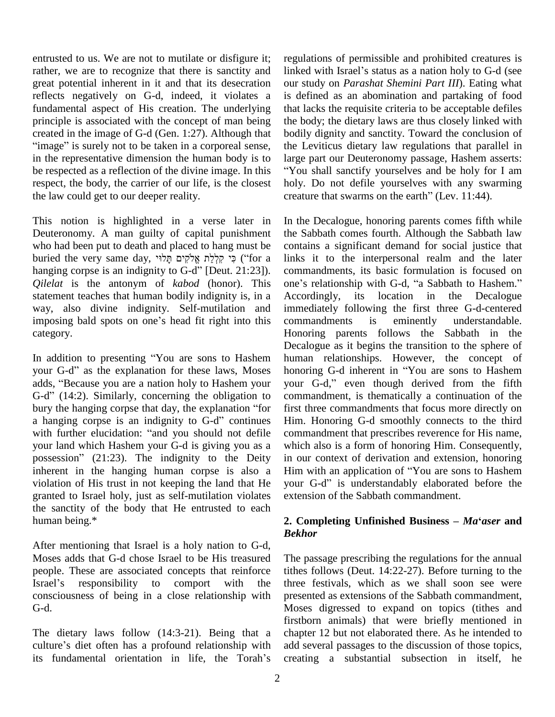entrusted to us. We are not to mutilate or disfigure it; rather, we are to recognize that there is sanctity and great potential inherent in it and that its desecration reflects negatively on G-d, indeed, it violates a fundamental aspect of His creation. The underlying principle is associated with the concept of man being the bo<br>created in the image of G-d (Gen. 1:27). Although that bodily<br>"image" is surely not to be taken in a corporeal sense, the Le in the representative dimension the human body is to be respected as a reflection of the divine image. In this respect, the body, the carrier of our life, is the closest the law could get to our deeper reality.

This notion is highlighted in a verse later in Deuteronomy. A man guilty of capital punishment who had been put to death and placed to hang must be Beuteronomy. A man guilty of capital punishment the S<br>who had been put to death and placed to hang must be conta<br>buried the very same day, קיצְלָת אֱלֹקִים תָּלוֹי, sinks who had been put to death and placed to hang must be<br>buried the very same day, פִי קַלְלַת אֱלֹקִים תָּלוּי<br>for a li hanging corpse is an indignity to G-d" [Deut. 21:23]). *Qilelat* is the antonym of *kabod* (honor). This one's relationship with G-d, "a Sabbath to Hashem." statement teaches that human bodily indignity is, in a way, also divine indignity. Self-mutilation and statement teaches that human bodily indignity is, in a Acc way, also divine indignity. Self-mutilation and imm<br>imposing bald spots on one's head fit right into this com category. Example of the category.<br>
In addition to presenting "You are sons to Hashem human re

Dec<br>In addition to presenting "You are sons to Hashem hum<br>your G-d" as the explanation for these laws, Moses hone In addition to presenting "You are sons to Hashem humar your G-d" as the explanation for these laws, Moses honor adds, "Because you are a nation holy to Hashem your your your G-d" as the explanation for these laws, Moses honoring G-d inherent in "You are sons to Hashem adds, "Because you are a nation holy to Hashem your g-d," even though derived from the fifth  $G-d''$  (14:2). Similarly, concerning the obligation to bury the hanging corpse that day, the explanation "for  $G-d''$  (14:2). Similarly, concerning the obligation to combury the hanging corpse that day, the explanation "for first a hanging corpse is an indignity to  $G-d''$  continues Him bury the hanging corpse that day, the explanation "for first to a hanging corpse is an indignity to G-d" continues Him.<br>with further elucidation: "and you should not defile comm your land which Hashem your G-d is giving you as a with further elucidation: "and you should not defile<br>your land which Hashem your G-d is giving you as a<br>possession" (21:23). The indignity to the Deity inherent in the hanging human corpse is also a Him with an application of "You are sons to Hashem" violation of His trust in not keeping the land that He granted to Israel holy, just as self-mutilation violates the sanctity of the body that He entrusted to each human being.\*

After mentioning that Israel is a holy nation to G-d, Moses adds that G-d chose Israel to be His treasured The propple. These are associated concepts that reinforce tithes Israel's responsibility to comport with the three people. These are associated concepts that reinforce consciousness of being in a close relationship with G-d.

The dietary laws follow (14:3-21). Being that a firstbc<br>The dietary laws follow (14:3-21). Being that a chapte<br>culture's diet often has a profound relationship with add se The dietary laws follow (14:3-21). Being that a chap<br>culture's diet often has a profound relationship with add<br>its fundamental orientation in life, the Torah's crea

regulations of permissible and prohibited creatures is linked with Israel's status as a nation holy to G-d (see our study on *Parashat Shemini Part III*). Eating what is defined as an abomination and partaking of food that lacks the requisite criteria to be acceptable defiles the body; the dietary laws are thus closely linked with bodily dignity and sanctity. Toward the conclusion of the Leviticus dietary law regulations that parallel in large part our Deuteronomy passage, Hashem asserts: You shall sanctify yourselves and be holy for I am holy. Do not defile yourselves with any swarming "You shall sanctify yourselves and be holy for I a<br>holy. Do not defile yourselves with any swarmis<br>creature that swarms on the earth" (Lev. 11:44).

In the Decalogue, honoring parents comes fifth while the Sabbath comes fourth. Although the Sabbath law contains a significant demand for social justice that links it to the interpersonal realm and the later<br>commandments, its basic formulation is focused on<br>one's relationship with G-d, "a Sabbath to Hashem." commandments, its basic formulation is focused on Accordingly, its location in the Decalogue immediately following the first three G-d-centered commandments is eminently understandable. Honoring parents follows the Sabbath in the Decalogue as it begins the transition to the sphere of human relationships. However, the concept of Decalogue as it begins the transition to the sphere of<br>human relationships. However, the concept of<br>honoring G-d inherent in "You are sons to Hashem your G-d," even though derived from the fifth commandment, is thematically a continuation of the first three commandments that focus more directly on Him. Honoring G-d smoothly connects to the third commandment that prescribes reverence for His name, which also is a form of honoring Him. Consequently, in our context of derivation and extension, honoring which also is a form of honoring Him. Consequently,<br>in our context of derivation and extension, honoring<br>Him with an application of "You are sons to Hashem your G-d" is understandably elaborated before the extension of the Sabbath commandment.

#### **2. Completing Unfinished Business** –  $Ma^t$ *aser* and *Bekhor*

The passage prescribing the regulations for the annual tithes follows (Deut. 14:22-27). Before turning to the three festivals, which as we shall soon see were presented as extensions of the Sabbath commandment, Moses digressed to expand on topics (tithes and firstborn animals) that were briefly mentioned in chapter 12 but not elaborated there. As he intended to add several passages to the discussion of those topics, creating a substantial subsection in itself, he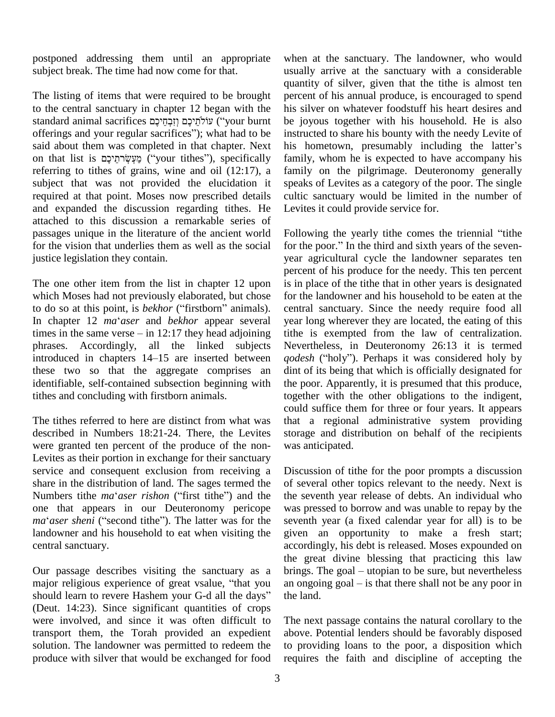postponed addressing them until an appropriate subject break. The time had now come for that.

The listing of items that were required to be brought to the central sanctuary in chapter 12 began with the The listing of items that were required to be brought pe<br>to the central sanctuary in chapter 12 began with the hi<br>standard animal sacrifices (יֹקְמֵיכֶם וְזִבְחֵיכֶם (יֹאֲמָיֹלָם (יֹאֲמִיכָם) with the standard animal sacrifices עוֹלְתֵיכֶם וְזִבְחֵיכֶם ("your burnt offerings and your regular sacrifices"); what had to be said about them was completed in that chapter. Next on that list is אֲעָשׂרתֵיכֶם ("your tithes"), specifically referring to tithes of grains, wine and oil (12:17), a subject that was not provided the elucidation it required at that point. Moses now prescribed details and expanded the discussion regarding tithes. He attached to this discussion a remarkable series of passages unique in the literature of the ancient world for the vision that underlies them as well as the social for the poor." In the third and sixth years of the sevenjustice legislation they contain.

The one other item from the list in chapter 12 upon which Moses had not previously elaborated, but chose The one other item from the list in chapter 12 upon<br>which Moses had not previously elaborated, but chose<br>to do so at this point, is *bekhor* ("firstborn" animals). which Moses had not previously elaborated, but chose for to do so at this point, is *bekhor* ("firstborn" animals). ce In chapter 12 *ma* aser and *bekhor* appear several ye to do so at this point, is *bekhor* ("firstborn" animals). centra<br>In chapter 12  $ma^taser$  and *bekhor* appear several year low<br>times in the same verse – in 12:17 they head adjoining tithe phrases. Accordingly, all the linked subjects times in the same verse  $-$  in 12:17 they head adjoining<br>phrases. Accordingly, all the linked subjects<br>introduced in chapters  $14-15$  are inserted between these two so that the aggregate comprises an identifiable, self-contained subsection beginning with tithes and concluding with firstborn animals.

The tithes referred to here are distinct from what was described in Numbers 18:21-24. There, the Levites were granted ten percent of the produce of the non- Levites as their portion in exchange for their sanctuary service and consequent exclusion from receiving a share in the distribution of land. The sages termed the of se Subsequenties and consequent exclusion from receiving a Discusshare in the distribution of land. The sages termed the of se<br>Numbers tithe *ma*<sup>\*</sup>*aser rishon* ("first tithe") and the the set one that appears in our Deuteronomy pericope Numbers tithe *ma*<sup>*caser rishon* ("first tithe") and the one that appears in our Deuteronomy pericope *ma*<sup>*caser sheni* ("second tithe"). The latter was for the</sup></sup> landowner and his household to eat when visiting the central sanctuary.

Our passage describes visiting the sanctuary as a the g<br>Our passage describes visiting the sanctuary as a brings<br>major religious experience of great vsalue, "that you an ong Our passage describes visiting the sanctuary as a brings. The goal – utopian to be sure, but nevertheless major religious experience of great vsalue, "that you an ongoing goal – is that there shall not be any poor in shou (Deut. 14:23). Since significant quantities of crops were involved, and since it was often difficult to transport them, the Torah provided an expedient solution. The landowner was permitted to redeem the produce with silver that would be exchanged for food

when at the sanctuary. The landowner, who would usually arrive at the sanctuary with a considerable quantity of silver, given that the tithe is almost ten percent of his annual produce, is encouraged to spend his silver on whatever foodstuff his heart desires and be joyous together with his household. He is also instructed to share his bounty with the needy Levite of his hometown, presumably including the latter's family, whom he is expected to have accompany his family on the pilgrimage. Deuteronomy generally speaks of Levites as a category of the poor. The single cultic sanctuary would be limited in the number of Levites it could provide service for. Levites it could provide service for.<br>Following the yearly tithe comes the triennial "tithe

Following the yearly tithe comes the triennial "tithe for the poor." In the third and sixth years of the sevenyear agricultural cycle the landowner separates ten percent of his produce for the needy. This ten percent is in place of the tithe that in other years is designated for the landowner and his household to be eaten at the central sanctuary. Since the needy require food all year long wherever they are located, the eating of this tithe is exempted from the law of centralization. Nevertheless, in Deuteronomy 26:13 it is termed *qodesh* ("holy"). Perhaps it was considered holy by dint of its being that which is officially designated for the poor. Apparently, it is presumed that this produce, together with the other obligations to the indigent, could suffice them for three or four years. It appears that a regional administrative system providing storage and distribution on behalf of the recipients was anticipated.

Discussion of tithe for the poor prompts a discussion of several other topics relevant to the needy. Next is the seventh year release of debts. An individual who was pressed to borrow and was unable to repay by the seventh year (a fixed calendar year for all) is to be given an opportunity to make a fresh start; accordingly, his debt is released. Moses expounded on the great divine blessing that practicing this law brings. The goal – utopian to be sure, but nevertheless the great divine blessing that practicing this law an ongoing goal  $-$  is that there shall not be any poor in the land.

The next passage contains the natural corollary to the above. Potential lenders should be favorably disposed to providing loans to the poor, a disposition which requires the faith and discipline of accepting the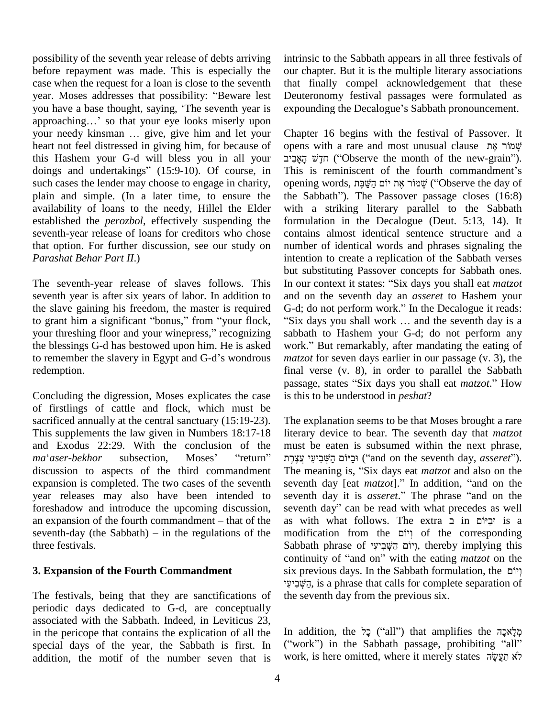possibility of the seventh year release of debts arriving before repayment was made. This is especially the our c<br>case when the request for a loan is close to the seventh that<br>year. Moses addresses that possibility: "Beware lest Deute case when the request for a loan is close to the seventh case when the request for a loan is close to the seventh that<br>year. Moses addresses that possibility: "Beware lest Deu<br>you have a base thought, saying, 'The seventh year is expo year. Moses addresses that possibility: "Beware lest Deutes<br>you have a base thought, saying, 'The seventh year is expour<br>approaching...' so that your eye looks miserly upon you have a base thought, saying, 'The seventh year is expandence approaching...' so that your eye looks miserly upon your needy kinsman ... give, give him and let your Ch heart not feel distressed in giving him, for because of doings and undertakings<sup>î</sup> (15:9-10). Of course, in this Hashem your G-d will bless you in all your such cases the lender may choose to engage in charity, plain and simple. (In a later time, to ensure the the Sabbath"). The Passover passage closes (16:8) availability of loans to the needy, Hillel the Elder established the *perozbol*, effectively suspending the seventh-year release of loans for creditors who chose that option. For further discussion, see our study on *Parashat Behar Part II*.)

The seventh-year release of slaves follows. This seventh year is after six years of labor. In addition to the slave gaining his freedom, the master is required seventh year is after six years of labor. In addition to<br>the slave gaining his freedom, the master is required G<br>to grant him a significant "bonus," from "your flock, the slave gaining his freedom, the master is required G-d; dto grant him a significant "bonus," from "your flock, "Six dyour threshing floor and your winepress," recognizing sabbat the blessings G-d has bestowed upon him. He is asked your threshing floor and your winepress," recognizing<br>the blessings G-d has bestowed upon him. He is asked<br>to remember the slavery in Egypt and G-d's wondrous redemption.

Concluding the digression, Moses explicates the case of firstlings of cattle and flock, which must be sacrificed annually at the central sanctuary (15:19-23). This supplements the law given in Numbers 18:17-18 literar<br>and Exodus 22:29. With the conclusion of the must<br>*ma*<sup>\*</sup>*aser-bekhor* subsection, Moses' "return" וי צְצֶרֶת and Exodus 22:29. With the conclusion of the must be eaten is subsumed within the next phrase, discussion to aspects of the third commandment expansion is completed. The two cases of the seventh year releases may also have been intended to sevent foreshadow and introduce the upcoming discussion, sevent an expansion of the fourth commandment – that of the as wi foreshadow and introduce the upcoming discussion, an expansion of the fourth commandment – that of the as with what follows. The extra in  $r =$  is a seventh-day (the Sabbath) – in the regulations of the modification from the  $r = r$  of the corresponding three festivals.

#### **3. Expansion of the Fourth Commandment**

The festivals, being that they are sanctifications of periodic days dedicated to G-d, are conceptually associated with the Sabbath. Indeed, in Leviticus 23, in the pericope that contains the explication of all the special days of the year, the Sabbath is first. In addition, the motif of the number seven that is

intrinsic to the Sabbath appears in all three festivals of our chapter. But it is the multiple literary associations that finally compel acknowledgement that these expounding the Decalogueí<sup>s</sup> Sabbath pronouncement. Deuteronomy festival passages were formulated as

Chapter 16 begins with the festival of Passover. It **Chapter 16 begins with the festival of Passover. It**<br>in with a rare and most unusual clause שֲׁמוֹר אֶת er 16 begins with the festival of Passover. It<br>with a rare and most unusual clause שְׁמוֹר אֶת<br>("Observe the month of the new-grain"). opens with a rare and most unusual clause שְׁמוֹר אֶת (''Observe the month of the new-grain'').<br>This is reminiscent of the fourth commandment's הַלָּשׁ הֲאֲבִיב ("Observe the month of the new-grain"). This is reminiscent of the fourth commandment's with a striking literary parallel to the Sabbath formulation in the Decalogue (Deut. 5:13, 14). It contains almost identical sentence structure and a number of identical words and phrases signaling the intention to create a replication of the Sabbath verses but substituting Passover concepts for Sabbath ones. In our context it states: "Six days you shall eat *matzot* and on the seventh day an *asseret* to Hashem your In our context it states: "Six days you shall eat *matzot* and on the seventh day an *asseret* to Hashem your G-d; do not perform work." In the Decalogue it reads: nd on the seventh day an *asseret* to Hashem your<br>5-d; do not perform work." In the Decalogue it reads:<br>Six days you shall work ... and the seventh day is a sabbath to Hashem your G-d; do not perform any "Six days you shall work ... and the seventh day is a sabbath to Hashem your G-d; do not perform any work." But remarkably, after mandating the eating of *matzot* for seven days earlier in our passage (v. 3), the final verse (v. 8), in order to parallel the Sabbath matzot for seven days earlier in our passage (v. 3), the final verse (v. 8), in order to parallel the Sabbath passage, states "Six days you shall eat *matzot*." How is this to be understood in *peshat*?

The explanation seems to be that Moses brought a rare literary device to bear. The seventh day that *matzot*<br>must be eaten is subsumed within the next phrase,<br>וּבֵיּוֹם הַשְּׁבִיעִי עֲצָרֶת ('and on the seventh day, *asseret*''). The meaning is, <sup>ì</sup>Six days eat *matzot* and also on the וּבַיּוֹם הַשְּׁבִיעִי עֲצֶרֶת ("and on the seventh day, *asseret"*).<br>The meaning is, "Six days eat *matzot* and also on the seventh day [eat *matzot*]." In addition, "and on the The meaning is, "Six days eat *matzot* and also on the seventh day [eat *matzot*]." In addition, "and on the seventh day it is *asseret*." The phrase "and on the seventh day [eat *matzot*]." In addition, "and on the seventh day it is *asseret*." The phrase "and on the seventh day" can be read with what precedes as well seventh day it is *asseret*." The phrase "and on the seventh day" can be read with what precedes as well as with what follows. The extra יִבְיּוֹם in וּבַיוֹם is a<br>modification from the יְוֹם הַשְּׁבִיעָי<br>Sabbath phrase of יְוֹם הַשְּׁבִיעָי, thereby implying this modification from the יְיוֹם <sub>ו</sub>ָלוֹם of the corresponding<br>Sabbath phrase of יְיוֹם הַשֶּׁבִיעִי, thereby implying this<br>continuity of "and on" with the eating *matzot* on the Sabbath phrase of יוֹם הַשְּׁבִיעִי, thereby implying this continuity of "and on" with the eating *matzot* on the six previous days. In the Sabbath formulation, the continuity of "and on" with the eating *matzot* on the six previous days. In the Sabbath formulation, the יְהֻשְׁבִיעִי<br>יְשָׁבִיעִי, is a phrase that calls for complete separation of the seventh day from the previous six.

קי<br>In addition, the יָכָל (''all'') that amplifies the קילְאּכָה h addition, the כָל (''all'') that amplifies the מְלָאכָה<br>(''work'') in the Sabbath passage, prohibiting ''all'' work, is here omitted, where it merely states לֹא תַעֲשֶׂה